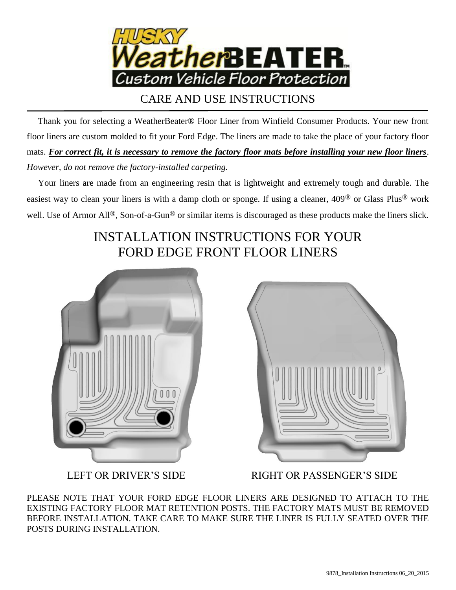

CARE AND USE INSTRUCTIONS

 Thank you for selecting a WeatherBeater® Floor Liner from Winfield Consumer Products. Your new front floor liners are custom molded to fit your Ford Edge. The liners are made to take the place of your factory floor mats. *For correct fit, it is necessary to remove the factory floor mats before installing your new floor liners*. *However, do not remove the factory-installed carpeting.*

 Your liners are made from an engineering resin that is lightweight and extremely tough and durable. The easiest way to clean your liners is with a damp cloth or sponge. If using a cleaner, 409® or Glass Plus® work well. Use of Armor All<sup>®</sup>, Son-of-a-Gun<sup>®</sup> or similar items is discouraged as these products make the liners slick.

## INSTALLATION INSTRUCTIONS FOR YOUR FORD EDGE FRONT FLOOR LINERS





LEFT OR DRIVER'S SIDE RIGHT OR PASSENGER'S SIDE

PLEASE NOTE THAT YOUR FORD EDGE FLOOR LINERS ARE DESIGNED TO ATTACH TO THE EXISTING FACTORY FLOOR MAT RETENTION POSTS. THE FACTORY MATS MUST BE REMOVED BEFORE INSTALLATION. TAKE CARE TO MAKE SURE THE LINER IS FULLY SEATED OVER THE POSTS DURING INSTALLATION.